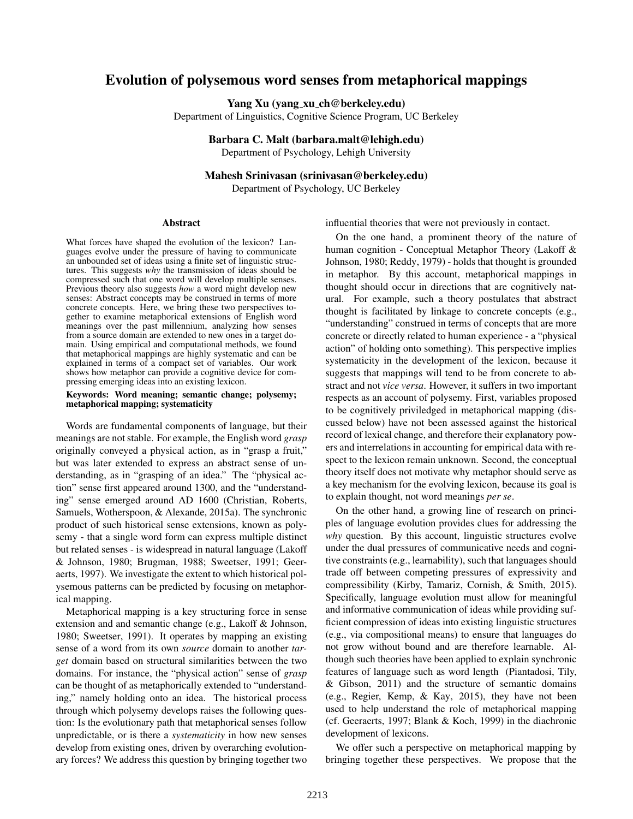# Evolution of polysemous word senses from metaphorical mappings

Yang Xu (yang xu ch@berkeley.edu)

Department of Linguistics, Cognitive Science Program, UC Berkeley

#### Barbara C. Malt (barbara.malt@lehigh.edu)

Department of Psychology, Lehigh University

# Mahesh Srinivasan (srinivasan@berkeley.edu)

Department of Psychology, UC Berkeley

### Abstract

What forces have shaped the evolution of the lexicon? Languages evolve under the pressure of having to communicate an unbounded set of ideas using a finite set of linguistic structures. This suggests *why* the transmission of ideas should be compressed such that one word will develop multiple senses. Previous theory also suggests *how* a word might develop new senses: Abstract concepts may be construed in terms of more concrete concepts. Here, we bring these two perspectives together to examine metaphorical extensions of English word meanings over the past millennium, analyzing how senses from a source domain are extended to new ones in a target domain. Using empirical and computational methods, we found that metaphorical mappings are highly systematic and can be explained in terms of a compact set of variables. Our work shows how metaphor can provide a cognitive device for compressing emerging ideas into an existing lexicon.

#### Keywords: Word meaning; semantic change; polysemy; metaphorical mapping; systematicity

Words are fundamental components of language, but their meanings are not stable. For example, the English word *grasp* originally conveyed a physical action, as in "grasp a fruit," but was later extended to express an abstract sense of understanding, as in "grasping of an idea." The "physical action" sense first appeared around 1300, and the "understanding" sense emerged around AD 1600 (Christian, Roberts, Samuels, Wotherspoon, & Alexande, 2015a). The synchronic product of such historical sense extensions, known as polysemy - that a single word form can express multiple distinct but related senses - is widespread in natural language (Lakoff & Johnson, 1980; Brugman, 1988; Sweetser, 1991; Geeraerts, 1997). We investigate the extent to which historical polysemous patterns can be predicted by focusing on metaphorical mapping.

Metaphorical mapping is a key structuring force in sense extension and and semantic change (e.g., Lakoff & Johnson, 1980; Sweetser, 1991). It operates by mapping an existing sense of a word from its own *source* domain to another *target* domain based on structural similarities between the two domains. For instance, the "physical action" sense of *grasp* can be thought of as metaphorically extended to "understanding," namely holding onto an idea. The historical process through which polysemy develops raises the following question: Is the evolutionary path that metaphorical senses follow unpredictable, or is there a *systematicity* in how new senses develop from existing ones, driven by overarching evolutionary forces? We address this question by bringing together two influential theories that were not previously in contact.

On the one hand, a prominent theory of the nature of human cognition - Conceptual Metaphor Theory (Lakoff & Johnson, 1980; Reddy, 1979) - holds that thought is grounded in metaphor. By this account, metaphorical mappings in thought should occur in directions that are cognitively natural. For example, such a theory postulates that abstract thought is facilitated by linkage to concrete concepts (e.g., "understanding" construed in terms of concepts that are more concrete or directly related to human experience - a "physical action" of holding onto something). This perspective implies systematicity in the development of the lexicon, because it suggests that mappings will tend to be from concrete to abstract and not *vice versa*. However, it suffers in two important respects as an account of polysemy. First, variables proposed to be cognitively priviledged in metaphorical mapping (discussed below) have not been assessed against the historical record of lexical change, and therefore their explanatory powers and interrelations in accounting for empirical data with respect to the lexicon remain unknown. Second, the conceptual theory itself does not motivate why metaphor should serve as a key mechanism for the evolving lexicon, because its goal is to explain thought, not word meanings *per se*.

On the other hand, a growing line of research on principles of language evolution provides clues for addressing the *why* question. By this account, linguistic structures evolve under the dual pressures of communicative needs and cognitive constraints (e.g., learnability), such that languages should trade off between competing pressures of expressivity and compressibility (Kirby, Tamariz, Cornish, & Smith, 2015). Specifically, language evolution must allow for meaningful and informative communication of ideas while providing sufficient compression of ideas into existing linguistic structures (e.g., via compositional means) to ensure that languages do not grow without bound and are therefore learnable. Although such theories have been applied to explain synchronic features of language such as word length (Piantadosi, Tily, & Gibson, 2011) and the structure of semantic domains (e.g., Regier, Kemp, & Kay, 2015), they have not been used to help understand the role of metaphorical mapping (cf. Geeraerts, 1997; Blank & Koch, 1999) in the diachronic development of lexicons.

We offer such a perspective on metaphorical mapping by bringing together these perspectives. We propose that the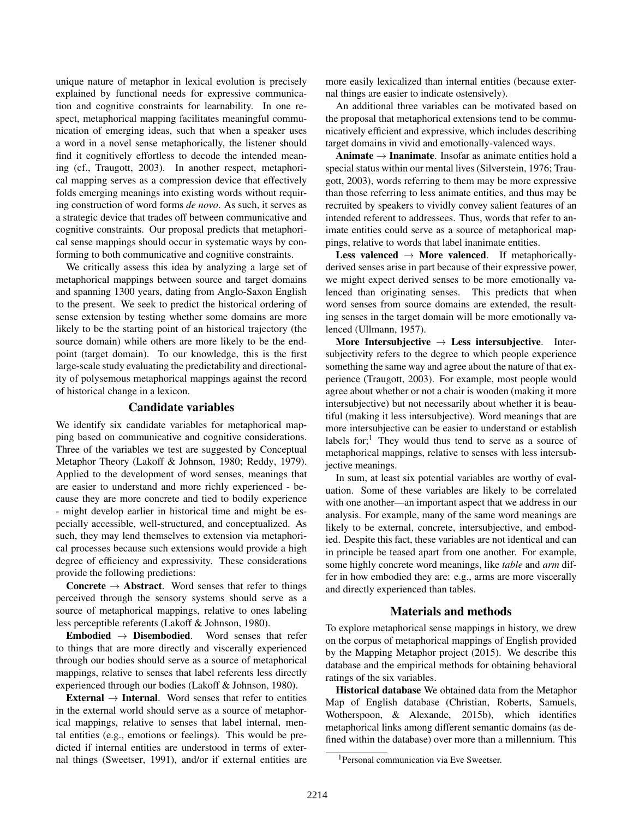unique nature of metaphor in lexical evolution is precisely explained by functional needs for expressive communication and cognitive constraints for learnability. In one respect, metaphorical mapping facilitates meaningful communication of emerging ideas, such that when a speaker uses a word in a novel sense metaphorically, the listener should find it cognitively effortless to decode the intended meaning (cf., Traugott, 2003). In another respect, metaphorical mapping serves as a compression device that effectively folds emerging meanings into existing words without requiring construction of word forms *de novo*. As such, it serves as a strategic device that trades off between communicative and cognitive constraints. Our proposal predicts that metaphorical sense mappings should occur in systematic ways by conforming to both communicative and cognitive constraints.

We critically assess this idea by analyzing a large set of metaphorical mappings between source and target domains and spanning 1300 years, dating from Anglo-Saxon English to the present. We seek to predict the historical ordering of sense extension by testing whether some domains are more likely to be the starting point of an historical trajectory (the source domain) while others are more likely to be the endpoint (target domain). To our knowledge, this is the first large-scale study evaluating the predictability and directionality of polysemous metaphorical mappings against the record of historical change in a lexicon.

## Candidate variables

We identify six candidate variables for metaphorical mapping based on communicative and cognitive considerations. Three of the variables we test are suggested by Conceptual Metaphor Theory (Lakoff & Johnson, 1980; Reddy, 1979). Applied to the development of word senses, meanings that are easier to understand and more richly experienced - because they are more concrete and tied to bodily experience - might develop earlier in historical time and might be especially accessible, well-structured, and conceptualized. As such, they may lend themselves to extension via metaphorical processes because such extensions would provide a high degree of efficiency and expressivity. These considerations provide the following predictions:

**Concrete**  $\rightarrow$  **Abstract**. Word senses that refer to things perceived through the sensory systems should serve as a source of metaphorical mappings, relative to ones labeling less perceptible referents (Lakoff & Johnson, 1980).

Embodied  $\rightarrow$  Disembodied. Word senses that refer to things that are more directly and viscerally experienced through our bodies should serve as a source of metaphorical mappings, relative to senses that label referents less directly experienced through our bodies (Lakoff & Johnson, 1980).

External  $\rightarrow$  Internal. Word senses that refer to entities in the external world should serve as a source of metaphorical mappings, relative to senses that label internal, mental entities (e.g., emotions or feelings). This would be predicted if internal entities are understood in terms of external things (Sweetser, 1991), and/or if external entities are more easily lexicalized than internal entities (because external things are easier to indicate ostensively).

An additional three variables can be motivated based on the proposal that metaphorical extensions tend to be communicatively efficient and expressive, which includes describing target domains in vivid and emotionally-valenced ways.

Animate  $\rightarrow$  Inanimate. Insofar as animate entities hold a special status within our mental lives (Silverstein, 1976; Traugott, 2003), words referring to them may be more expressive than those referring to less animate entities, and thus may be recruited by speakers to vividly convey salient features of an intended referent to addressees. Thus, words that refer to animate entities could serve as a source of metaphorical mappings, relative to words that label inanimate entities.

Less valenced  $\rightarrow$  More valenced. If metaphoricallyderived senses arise in part because of their expressive power, we might expect derived senses to be more emotionally valenced than originating senses. This predicts that when word senses from source domains are extended, the resulting senses in the target domain will be more emotionally valenced (Ullmann, 1957).

More Intersubjective  $\rightarrow$  Less intersubjective. Intersubjectivity refers to the degree to which people experience something the same way and agree about the nature of that experience (Traugott, 2003). For example, most people would agree about whether or not a chair is wooden (making it more intersubjective) but not necessarily about whether it is beautiful (making it less intersubjective). Word meanings that are more intersubjective can be easier to understand or establish labels for;<sup>1</sup> They would thus tend to serve as a source of metaphorical mappings, relative to senses with less intersubjective meanings.

In sum, at least six potential variables are worthy of evaluation. Some of these variables are likely to be correlated with one another—an important aspect that we address in our analysis. For example, many of the same word meanings are likely to be external, concrete, intersubjective, and embodied. Despite this fact, these variables are not identical and can in principle be teased apart from one another. For example, some highly concrete word meanings, like *table* and *arm* differ in how embodied they are: e.g., arms are more viscerally and directly experienced than tables.

### Materials and methods

To explore metaphorical sense mappings in history, we drew on the corpus of metaphorical mappings of English provided by the Mapping Metaphor project (2015). We describe this database and the empirical methods for obtaining behavioral ratings of the six variables.

Historical database We obtained data from the Metaphor Map of English database (Christian, Roberts, Samuels, Wotherspoon, & Alexande, 2015b), which identifies metaphorical links among different semantic domains (as defined within the database) over more than a millennium. This

<sup>1</sup>Personal communication via Eve Sweetser.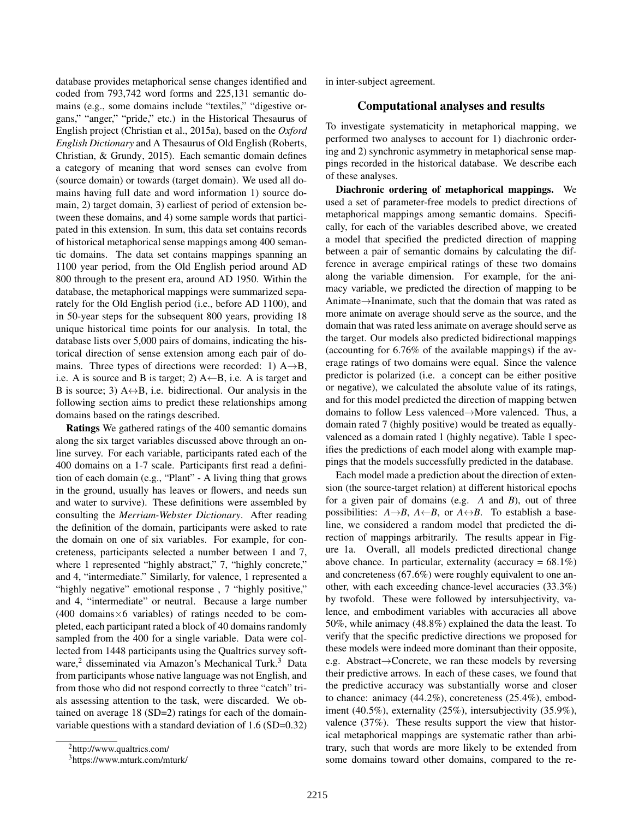database provides metaphorical sense changes identified and coded from 793,742 word forms and 225,131 semantic domains (e.g., some domains include "textiles," "digestive organs," "anger," "pride," etc.) in the Historical Thesaurus of English project (Christian et al., 2015a), based on the *Oxford English Dictionary* and A Thesaurus of Old English (Roberts, Christian, & Grundy, 2015). Each semantic domain defines a category of meaning that word senses can evolve from (source domain) or towards (target domain). We used all domains having full date and word information 1) source domain, 2) target domain, 3) earliest of period of extension between these domains, and 4) some sample words that participated in this extension. In sum, this data set contains records of historical metaphorical sense mappings among 400 semantic domains. The data set contains mappings spanning an 1100 year period, from the Old English period around AD 800 through to the present era, around AD 1950. Within the database, the metaphorical mappings were summarized separately for the Old English period (i.e., before AD 1100), and in 50-year steps for the subsequent 800 years, providing 18 unique historical time points for our analysis. In total, the database lists over 5,000 pairs of domains, indicating the historical direction of sense extension among each pair of domains. Three types of directions were recorded: 1)  $A \rightarrow B$ , i.e. A is source and B is target; 2)  $A \leftarrow B$ , i.e. A is target and B is source; 3)  $A \leftrightarrow B$ , i.e. bidirectional. Our analysis in the following section aims to predict these relationships among domains based on the ratings described.

Ratings We gathered ratings of the 400 semantic domains along the six target variables discussed above through an online survey. For each variable, participants rated each of the 400 domains on a 1-7 scale. Participants first read a definition of each domain (e.g., "Plant" - A living thing that grows in the ground, usually has leaves or flowers, and needs sun and water to survive). These definitions were assembled by consulting the *Merriam-Webster Dictionary*. After reading the definition of the domain, participants were asked to rate the domain on one of six variables. For example, for concreteness, participants selected a number between 1 and 7, where 1 represented "highly abstract," 7, "highly concrete," and 4, "intermediate." Similarly, for valence, 1 represented a "highly negative" emotional response , 7 "highly positive," and 4, "intermediate" or neutral. Because a large number  $(400$  domains  $\times$  6 variables) of ratings needed to be completed, each participant rated a block of 40 domains randomly sampled from the 400 for a single variable. Data were collected from 1448 participants using the Qualtrics survey software,<sup>2</sup> disseminated via Amazon's Mechanical Turk.<sup>3</sup> Data from participants whose native language was not English, and from those who did not respond correctly to three "catch" trials assessing attention to the task, were discarded. We obtained on average 18 (SD=2) ratings for each of the domainvariable questions with a standard deviation of 1.6 (SD=0.32) in inter-subject agreement.

# Computational analyses and results

To investigate systematicity in metaphorical mapping, we performed two analyses to account for 1) diachronic ordering and 2) synchronic asymmetry in metaphorical sense mappings recorded in the historical database. We describe each of these analyses.

Diachronic ordering of metaphorical mappings. We used a set of parameter-free models to predict directions of metaphorical mappings among semantic domains. Specifically, for each of the variables described above, we created a model that specified the predicted direction of mapping between a pair of semantic domains by calculating the difference in average empirical ratings of these two domains along the variable dimension. For example, for the animacy variable, we predicted the direction of mapping to be Animate→Inanimate, such that the domain that was rated as more animate on average should serve as the source, and the domain that was rated less animate on average should serve as the target. Our models also predicted bidirectional mappings (accounting for 6.76% of the available mappings) if the average ratings of two domains were equal. Since the valence predictor is polarized (i.e. a concept can be either positive or negative), we calculated the absolute value of its ratings, and for this model predicted the direction of mapping betwen domains to follow Less valenced→More valenced. Thus, a domain rated 7 (highly positive) would be treated as equallyvalenced as a domain rated 1 (highly negative). Table 1 specifies the predictions of each model along with example mappings that the models successfully predicted in the database.

Each model made a prediction about the direction of extension (the source-target relation) at different historical epochs for a given pair of domains (e.g. *A* and *B*), out of three possibilities:  $A \rightarrow B$ ,  $A \leftarrow B$ , or  $A \leftrightarrow B$ . To establish a baseline, we considered a random model that predicted the direction of mappings arbitrarily. The results appear in Figure 1a. Overall, all models predicted directional change above chance. In particular, externality (accuracy =  $68.1\%$ ) and concreteness (67.6%) were roughly equivalent to one another, with each exceeding chance-level accuracies (33.3%) by twofold. These were followed by intersubjectivity, valence, and embodiment variables with accuracies all above 50%, while animacy (48.8%) explained the data the least. To verify that the specific predictive directions we proposed for these models were indeed more dominant than their opposite, e.g. Abstract→Concrete, we ran these models by reversing their predictive arrows. In each of these cases, we found that the predictive accuracy was substantially worse and closer to chance: animacy (44.2%), concreteness (25.4%), embodiment (40.5%), externality (25%), intersubjectivity (35.9%), valence (37%). These results support the view that historical metaphorical mappings are systematic rather than arbitrary, such that words are more likely to be extended from some domains toward other domains, compared to the re-

<sup>2</sup>http://www.qualtrics.com/

<sup>3</sup>https://www.mturk.com/mturk/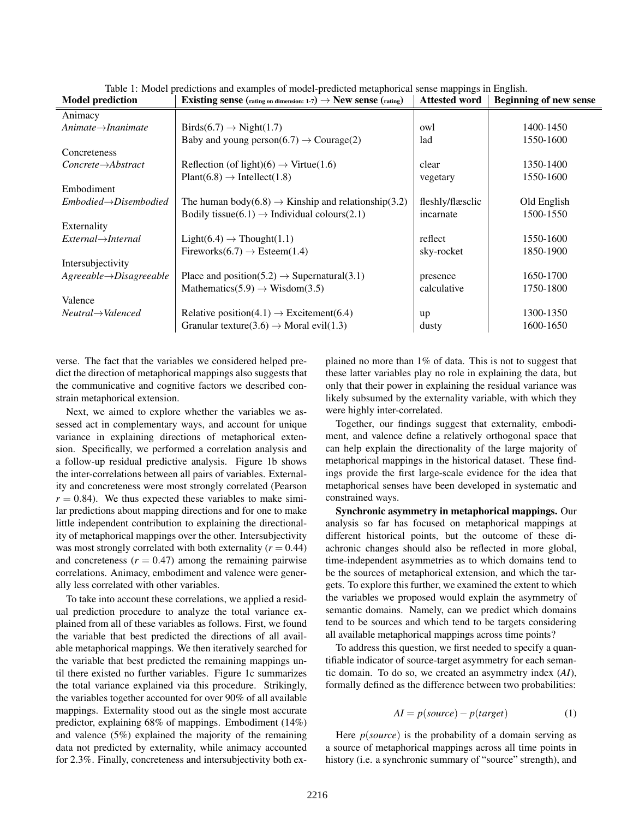| Existing sense (rating on dimension: 1-7) $\rightarrow$ New sense (rating) | <b>Attested word</b> | <b>Beginning of new sense</b> |
|----------------------------------------------------------------------------|----------------------|-------------------------------|
|                                                                            |                      |                               |
| $Birds(6.7) \rightarrow Night(1.7)$                                        | owl                  | 1400-1450                     |
| Baby and young person(6.7) $\rightarrow$ Courage(2)                        | lad                  | 1550-1600                     |
|                                                                            |                      |                               |
| Reflection (of light)(6) $\rightarrow$ Virtue(1.6)                         | clear                | 1350-1400                     |
| $Plant(6.8) \rightarrow Intellect(1.8)$                                    | vegetary             | 1550-1600                     |
|                                                                            |                      |                               |
| The human body(6.8) $\rightarrow$ Kinship and relationship(3.2)            | fleshly/flæsclic     | Old English                   |
| Bodily tissue(6.1) $\rightarrow$ Individual colours(2.1)                   | incarnate            | 1500-1550                     |
|                                                                            |                      |                               |
| $Light(6.4) \rightarrow Thought(1.1)$                                      | reflect              | 1550-1600                     |
| Fireworks $(6.7) \rightarrow$ Esteem $(1.4)$                               | sky-rocket           | 1850-1900                     |
|                                                                            |                      |                               |
| Place and position(5.2) $\rightarrow$ Supernatural(3.1)                    | presence             | 1650-1700                     |
| Mathematics(5.9) $\rightarrow$ Wisdom(3.5)                                 | calculative          | 1750-1800                     |
|                                                                            |                      |                               |
| Relative position(4.1) $\rightarrow$ Excitement(6.4)                       | up                   | 1300-1350                     |
| Granular texture(3.6) $\rightarrow$ Moral evil(1.3)                        | dusty                | 1600-1650                     |
|                                                                            |                      |                               |

Table 1: Model predictions and examples of model-predicted metaphorical sense mappings in English.

verse. The fact that the variables we considered helped predict the direction of metaphorical mappings also suggests that the communicative and cognitive factors we described constrain metaphorical extension.

Next, we aimed to explore whether the variables we assessed act in complementary ways, and account for unique variance in explaining directions of metaphorical extension. Specifically, we performed a correlation analysis and a follow-up residual predictive analysis. Figure 1b shows the inter-correlations between all pairs of variables. Externality and concreteness were most strongly correlated (Pearson  $r = 0.84$ ). We thus expected these variables to make similar predictions about mapping directions and for one to make little independent contribution to explaining the directionality of metaphorical mappings over the other. Intersubjectivity was most strongly correlated with both externality  $(r = 0.44)$ and concreteness  $(r = 0.47)$  among the remaining pairwise correlations. Animacy, embodiment and valence were generally less correlated with other variables.

To take into account these correlations, we applied a residual prediction procedure to analyze the total variance explained from all of these variables as follows. First, we found the variable that best predicted the directions of all available metaphorical mappings. We then iteratively searched for the variable that best predicted the remaining mappings until there existed no further variables. Figure 1c summarizes the total variance explained via this procedure. Strikingly, the variables together accounted for over 90% of all available mappings. Externality stood out as the single most accurate predictor, explaining 68% of mappings. Embodiment (14%) and valence (5%) explained the majority of the remaining data not predicted by externality, while animacy accounted for 2.3%. Finally, concreteness and intersubjectivity both explained no more than 1% of data. This is not to suggest that these latter variables play no role in explaining the data, but only that their power in explaining the residual variance was likely subsumed by the externality variable, with which they were highly inter-correlated.

Together, our findings suggest that externality, embodiment, and valence define a relatively orthogonal space that can help explain the directionality of the large majority of metaphorical mappings in the historical dataset. These findings provide the first large-scale evidence for the idea that metaphorical senses have been developed in systematic and constrained ways.

Synchronic asymmetry in metaphorical mappings. Our analysis so far has focused on metaphorical mappings at different historical points, but the outcome of these diachronic changes should also be reflected in more global, time-independent asymmetries as to which domains tend to be the sources of metaphorical extension, and which the targets. To explore this further, we examined the extent to which the variables we proposed would explain the asymmetry of semantic domains. Namely, can we predict which domains tend to be sources and which tend to be targets considering all available metaphorical mappings across time points?

To address this question, we first needed to specify a quantifiable indicator of source-target asymmetry for each semantic domain. To do so, we created an asymmetry index (*AI*), formally defined as the difference between two probabilities:

$$
AI = p(source) - p(target)
$$
 (1)

Here *p*(*source*) is the probability of a domain serving as a source of metaphorical mappings across all time points in history (i.e. a synchronic summary of "source" strength), and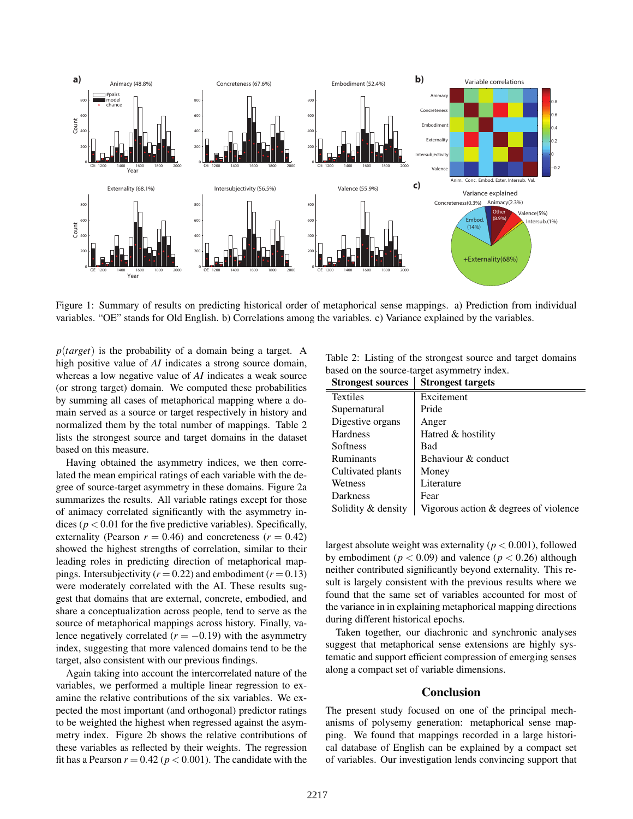

Figure 1: Summary of results on predicting historical order of metaphorical sense mappings. a) Prediction from individual variables. "OE" stands for Old English. b) Correlations among the variables. c) Variance explained by the variables.

*p*(*target*) is the probability of a domain being a target. A high positive value of *AI* indicates a strong source domain, whereas a low negative value of *AI* indicates a weak source (or strong target) domain. We computed these probabilities by summing all cases of metaphorical mapping where a domain served as a source or target respectively in history and normalized them by the total number of mappings. Table 2 lists the strongest source and target domains in the dataset based on this measure.

Having obtained the asymmetry indices, we then correlated the mean empirical ratings of each variable with the degree of source-target asymmetry in these domains. Figure 2a summarizes the results. All variable ratings except for those of animacy correlated significantly with the asymmetry indices ( $p < 0.01$  for the five predictive variables). Specifically, externality (Pearson  $r = 0.46$ ) and concreteness ( $r = 0.42$ ) showed the highest strengths of correlation, similar to their leading roles in predicting direction of metaphorical mappings. Intersubjectivity ( $r = 0.22$ ) and embodiment ( $r = 0.13$ ) were moderately correlated with the AI. These results suggest that domains that are external, concrete, embodied, and share a conceptualization across people, tend to serve as the source of metaphorical mappings across history. Finally, valence negatively correlated  $(r = -0.19)$  with the asymmetry index, suggesting that more valenced domains tend to be the target, also consistent with our previous findings.

Again taking into account the intercorrelated nature of the variables, we performed a multiple linear regression to examine the relative contributions of the six variables. We expected the most important (and orthogonal) predictor ratings to be weighted the highest when regressed against the asymmetry index. Figure 2b shows the relative contributions of these variables as reflected by their weights. The regression fit has a Pearson  $r = 0.42$  ( $p < 0.001$ ). The candidate with the

Table 2: Listing of the strongest source and target domains based on the source-target asymmetry index.

| <b>Strongest sources</b> | <b>Strongest targets</b>              |
|--------------------------|---------------------------------------|
| <b>Textiles</b>          | Excitement                            |
| Supernatural             | Pride                                 |
| Digestive organs         | Anger                                 |
| <b>Hardness</b>          | Hatred & hostility                    |
| Softness                 | Bad                                   |
| Ruminants                | Behaviour & conduct                   |
| Cultivated plants        | Money                                 |
| Wetness                  | Literature                            |
| Darkness                 | Fear                                  |
| Solidity & density       | Vigorous action & degrees of violence |

largest absolute weight was externality (*p* < 0.001), followed by embodiment ( $p < 0.09$ ) and valence ( $p < 0.26$ ) although neither contributed significantly beyond externality. This result is largely consistent with the previous results where we found that the same set of variables accounted for most of the variance in in explaining metaphorical mapping directions during different historical epochs.

Taken together, our diachronic and synchronic analyses suggest that metaphorical sense extensions are highly systematic and support efficient compression of emerging senses along a compact set of variable dimensions.

## **Conclusion**

The present study focused on one of the principal mechanisms of polysemy generation: metaphorical sense mapping. We found that mappings recorded in a large historical database of English can be explained by a compact set of variables. Our investigation lends convincing support that